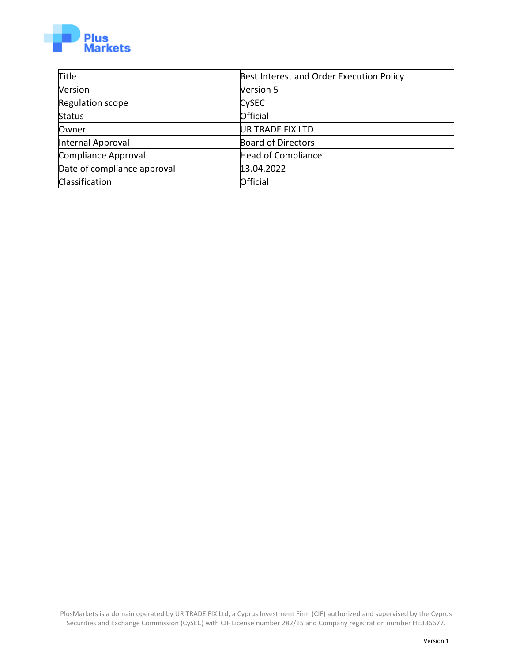

| <b>Title</b>                | Best Interest and Order Execution Policy |  |  |
|-----------------------------|------------------------------------------|--|--|
| Version                     | <b>Version 5</b>                         |  |  |
| Regulation scope            | <b>CySEC</b>                             |  |  |
| Status                      | Official                                 |  |  |
| Owner                       | <b>UR TRADE FIX LTD</b>                  |  |  |
| Internal Approval           | <b>Board of Directors</b>                |  |  |
| Compliance Approval         | Head of Compliance                       |  |  |
| Date of compliance approval | 13.04.2022                               |  |  |
| Classification              | Official                                 |  |  |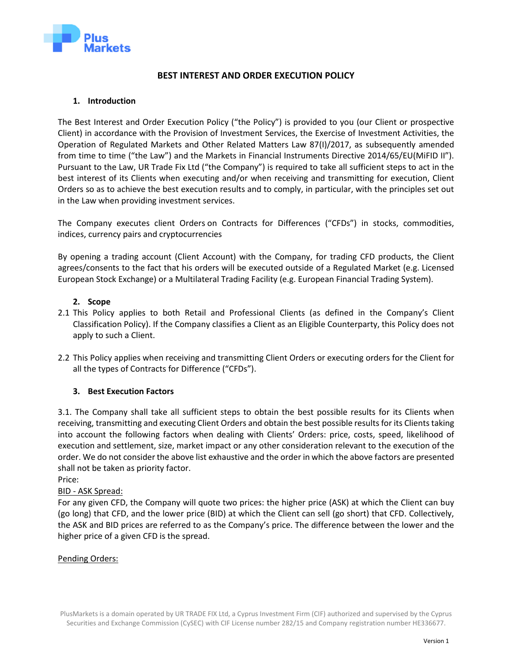

## **BEST INTEREST AND ORDER EXECUTION POLICY**

## **1. Introduction**

The Best Interest and Order Execution Policy ("the Policy") is provided to you (our Client or prospective Client) in accordance with the Provision of Investment Services, the Exercise of Investment Activities, the Operation of Regulated Markets and Other Related Matters Law 87(I)/2017, as subsequently amended from time to time ("the Law") and the Markets in Financial Instruments Directive 2014/65/EU(MiFID II"). Pursuant to the Law, UR Trade Fix Ltd ("the Company") is required to take all sufficient steps to act in the best interest of its Clients when executing and/or when receiving and transmitting for execution, Client Orders so as to achieve the best execution results and to comply, in particular, with the principles set out in the Law when providing investment services.

The Company executes client Orders on Contracts for Differences ("CFDs") in stocks, commodities, indices, currency pairs and cryptocurrencies

By opening a trading account (Client Account) with the Company, for trading CFD products, the Client agrees/consents to the fact that his orders will be executed outside of a Regulated Market (e.g. Licensed European Stock Exchange) or a Multilateral Trading Facility (e.g. European Financial Trading System).

## **2. Scope**

- 2.1 This Policy applies to both Retail and Professional Clients (as defined in the Company's Client Classification Policy). If the Company classifies a Client as an Eligible Counterparty, this Policy does not apply to such a Client.
- 2.2 This Policy applies when receiving and transmitting Client Orders or executing orders for the Client for all the types of Contracts for Difference ("CFDs").

### **3. Best Execution Factors**

3.1. The Company shall take all sufficient steps to obtain the best possible results for its Clients when receiving, transmitting and executing Client Orders and obtain the best possible results for its Clients taking into account the following factors when dealing with Clients' Orders: price, costs, speed, likelihood of execution and settlement, size, market impact or any other consideration relevant to the execution of the order. We do not consider the above list exhaustive and the order in which the above factors are presented shall not be taken as priority factor.

Price:

### BID - ASK Spread:

For any given CFD, the Company will quote two prices: the higher price (ASK) at which the Client can buy (go long) that CFD, and the lower price (BID) at which the Client can sell (go short) that CFD. Collectively, the ASK and BID prices are referred to as the Company's price. The difference between the lower and the higher price of a given CFD is the spread.

### Pending Orders: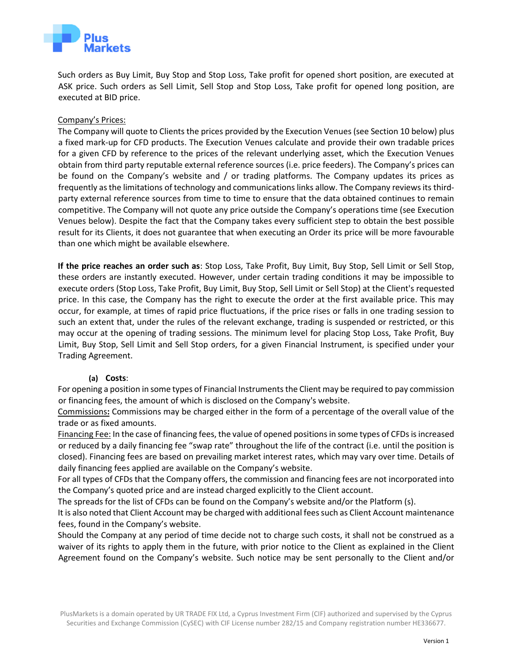

Such orders as Buy Limit, Buy Stop and Stop Loss, Take profit for opened short position, are executed at ASK price. Such orders as Sell Limit, Sell Stop and Stop Loss, Take profit for opened long position, are executed at BID price.

#### Company's Prices:

The Company will quote to Clients the prices provided by the Execution Venues (see Section 10 below) plus a fixed mark-up for CFD products. The Execution Venues calculate and provide their own tradable prices for a given CFD by reference to the prices of the relevant underlying asset, which the Execution Venues obtain from third party reputable external reference sources (i.e. price feeders). The Company's prices can be found on the Company's website and / or trading platforms. The Company updates its prices as frequently as the limitations of technology and communications links allow. The Company reviews its thirdparty external reference sources from time to time to ensure that the data obtained continues to remain competitive. The Company will not quote any price outside the Company's operations time (see Execution Venues below). Despite the fact that the Company takes every sufficient step to obtain the best possible result for its Clients, it does not guarantee that when executing an Order its price will be more favourable than one which might be available elsewhere.

**If the price reaches an order such as**: Stop Loss, Take Profit, Buy Limit, Buy Stop, Sell Limit or Sell Stop, these orders are instantly executed. However, under certain trading conditions it may be impossible to execute orders (Stop Loss, Take Profit, Buy Limit, Buy Stop, Sell Limit or Sell Stop) at the Client's requested price. In this case, the Company has the right to execute the order at the first available price. This may occur, for example, at times of rapid price fluctuations, if the price rises or falls in one trading session to such an extent that, under the rules of the relevant exchange, trading is suspended or restricted, or this may occur at the opening of trading sessions. The minimum level for placing Stop Loss, Take Profit, Buy Limit, Buy Stop, Sell Limit and Sell Stop orders, for a given Financial Instrument, is specified under your Trading Agreement.

#### **(a) Costs**:

For opening a position in some types of Financial Instruments the Client may be required to pay commission or financing fees, the amount of which is disclosed on the Company's website.

Commissions**:** Commissions may be charged either in the form of a percentage of the overall value of the trade or as fixed amounts.

Financing Fee: In the case of financing fees, the value of opened positions in some types of CFDs is increased or reduced by a daily financing fee "swap rate" throughout the life of the contract (i.e. until the position is closed). Financing fees are based on prevailing market interest rates, which may vary over time. Details of daily financing fees applied are available on the Company's website.

For all types of CFDs that the Company offers, the commission and financing fees are not incorporated into the Company's quoted price and are instead charged explicitly to the Client account.

The spreads for the list of CFDs can be found on the Company's website and/or the Platform (s).

It is also noted that Client Account may be charged with additional fees such as Client Account maintenance fees, found in the Company's website.

Should the Company at any period of time decide not to charge such costs, it shall not be construed as a waiver of its rights to apply them in the future, with prior notice to the Client as explained in the Client Agreement found on the Company's [website.](https://tradeo.com/) Such notice may be sent personally to the Client and/or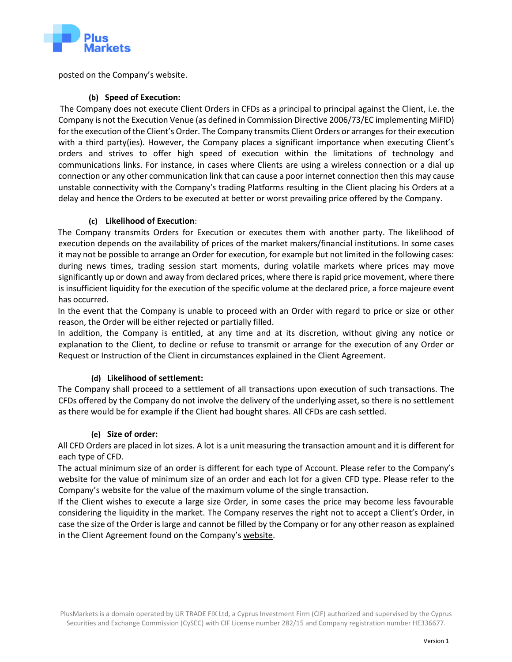

posted on the Company's website.

### **(b) Speed of Execution:**

The Company does not execute Client Orders in CFDs as a principal to principal against the Client, i.e. the Company is not the Execution Venue (as defined in Commission Directive 2006/73/EC implementing MiFID) for the execution of the Client's Order. The Company transmits Client Orders or arranges for their execution with a third party(ies). However, the Company places a significant importance when executing Client's orders and strives to offer high speed of execution within the limitations of technology and communications links. For instance, in cases where Clients are using a wireless connection or a dial up connection or any other communication link that can cause a poor internet connection then this may cause unstable connectivity with the Company's trading Platforms resulting in the Client placing his Orders at a delay and hence the Orders to be executed at better or worst prevailing price offered by the Company.

## **(c) Likelihood of Execution**:

The Company transmits Orders for Execution or executes them with another party. The likelihood of execution depends on the availability of prices of the market makers/financial institutions. In some cases it may not be possible to arrange an Order for execution, for example but not limited in the following cases: during news times, trading session start moments, during volatile markets where prices may move significantly up or down and away from declared prices, where there is rapid price movement, where there is insufficient liquidity for the execution of the specific volume at the declared price, a force majeure event has occurred.

In the event that the Company is unable to proceed with an Order with regard to price or size or other reason, the Order will be either rejected or partially filled.

In addition, the Company is entitled, at any time and at its discretion, without giving any notice or explanation to the Client, to decline or refuse to transmit or arrange for the execution of any Order or Request or Instruction of the Client in circumstances explained in the Client Agreement.

# **(d) Likelihood of settlement:**

The Company shall proceed to a settlement of all transactions upon execution of such transactions. The CFDs offered by the Company do not involve the delivery of the underlying asset, so there is no settlement as there would be for example if the Client had bought shares. All CFDs are cash settled.

### **(e) Size of order:**

All CFD Orders are placed in lot sizes. A lot is a unit measuring the transaction amount and it is different for each type of CFD.

The actual minimum size of an order is different for each type of Account. Please refer to the Company's website for the value of minimum size of an order and each lot for a given CFD type. Please refer to the Company's website for the value of the maximum volume of the single transaction.

If the Client wishes to execute a large size Order, in some cases the price may become less favourable considering the liquidity in the market. The Company reserves the right not to accept a Client's Order, in case the size of the Order is large and cannot be filled by the Company or for any other reason as explained in the Client Agreement found on the Company's [website.](https://tradeo.com/)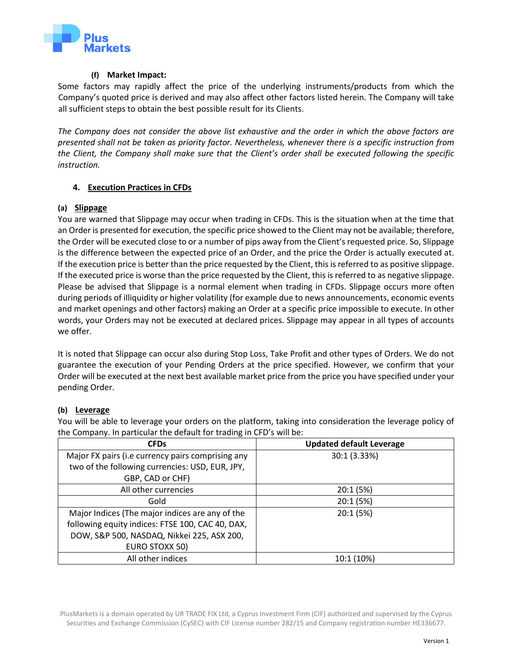

#### **(f) Market Impact:**

Some factors may rapidly affect the price of the underlying instruments/products from which the Company's quoted price is derived and may also affect other factors listed herein. The Company will take all sufficient steps to obtain the best possible result for its Clients.

*The Company does not consider the above list exhaustive and the order in which the above factors are presented shall not be taken as priority factor. Nevertheless, whenever there is a specific instruction from the Client, the Company shall make sure that the Client's order shall be executed following the specific instruction.*

### **4. Execution Practices in CFDs**

### **(a) Slippage**

You are warned that Slippage may occur when trading in CFDs. This is the situation when at the time that an Order is presented for execution, the specific price showed to the Client may not be available; therefore, the Order will be executed close to or a number of pips away from the Client's requested price. So, Slippage is the difference between the expected price of an Order, and the price the Order is actually executed at. If the execution price is better than the price requested by the Client, this is referred to as positive slippage. If the executed price is worse than the price requested by the Client, this is referred to as negative slippage. Please be advised that Slippage is a normal element when trading in CFDs. Slippage occurs more often during periods of illiquidity or higher volatility (for example due to news announcements, economic events and market openings and other factors) making an Order at a specific price impossible to execute. In other words, your Orders may not be executed at declared prices. Slippage may appear in all types of accounts we offer.

It is noted that Slippage can occur also during Stop Loss, Take Profit and other types of Orders. We do not guarantee the execution of your Pending Orders at the price specified. However, we confirm that your Order will be executed at the next best available market price from the price you have specified under your pending Order.

### **(b) Leverage**

You will be able to leverage your orders on the platform, taking into consideration the leverage policy of the Company. In particular the default for trading in CFD's will be:

| <b>CFDs</b>                                       | <b>Updated default Leverage</b> |
|---------------------------------------------------|---------------------------------|
| Major FX pairs (i.e currency pairs comprising any | 30:1 (3.33%)                    |
| two of the following currencies: USD, EUR, JPY,   |                                 |
| GBP, CAD or CHF)                                  |                                 |
| All other currencies                              | 20:1 (5%)                       |
| Gold                                              | 20:1 (5%)                       |
| Major Indices (The major indices are any of the   | 20:1 (5%)                       |
| following equity indices: FTSE 100, CAC 40, DAX,  |                                 |
| DOW, S&P 500, NASDAQ, Nikkei 225, ASX 200,        |                                 |
| EURO STOXX 50)                                    |                                 |
| All other indices                                 | 10:1 (10%)                      |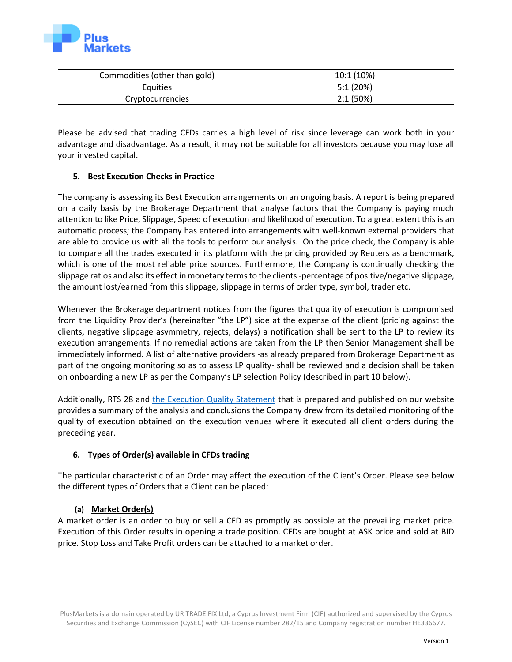

| Commodities (other than gold) | 10:1 (10%) |
|-------------------------------|------------|
| <b>Equities</b>               | 5:1(20%)   |
| Cryptocurrencies              | 2:1(50%)   |

Please be advised that trading CFDs carries a high level of risk since leverage can work both in your advantage and disadvantage. As a result, it may not be suitable for all investors because you may lose all your invested capital.

### **5. Best Execution Checks in Practice**

The company is assessing its Best Execution arrangements on an ongoing basis. A report is being prepared on a daily basis by the Brokerage Department that analyse factors that the Company is paying much attention to like Price, Slippage, Speed of execution and likelihood of execution. To a great extent this is an automatic process; the Company has entered into arrangements with well-known external providers that are able to provide us with all the tools to perform our analysis. On the price check, the Company is able to compare all the trades executed in its platform with the pricing provided by Reuters as a benchmark, which is one of the most reliable price sources. Furthermore, the Company is continually checking the slippage ratios and also its effect in monetary terms to the clients -percentage of positive/negative slippage, the amount lost/earned from this slippage, slippage in terms of order type, symbol, trader etc.

Whenever the Brokerage department notices from the figures that quality of execution is compromised from the Liquidity Provider's (hereinafter "the LP") side at the expense of the client (pricing against the clients, negative slippage asymmetry, rejects, delays) a notification shall be sent to the LP to review its execution arrangements. If no remedial actions are taken from the LP then Senior Management shall be immediately informed. A list of alternative providers -as already prepared from Brokerage Department as part of the ongoing monitoring so as to assess LP quality- shall be reviewed and a decision shall be taken on onboarding a new LP as per the Company's LP selection Policy (described in part 10 below).

Additionally, RTS 28 and [the Execution Quality Statement](https://plusmarkets.eu/misc/docs/EN/Execution_Quality_Summary_Statement_2020_EN.pdf) that is prepared and published on our website provides a summary of the analysis and conclusions the Company drew from its detailed monitoring of the quality of execution obtained on the execution venues where it executed all client orders during the preceding year.

# **6. Types of Order(s) available in CFDs trading**

The particular characteristic of an Order may affect the execution of the Client's Order. Please see below the different types of Orders that a Client can be placed:

### **(a) Market Order(s)**

A market order is an order to buy or sell a CFD as promptly as possible at the prevailing market price. Execution of this Order results in opening a trade position. CFDs are bought at ASK price and sold at BID price. Stop Loss and Take Profit orders can be attached to a market order.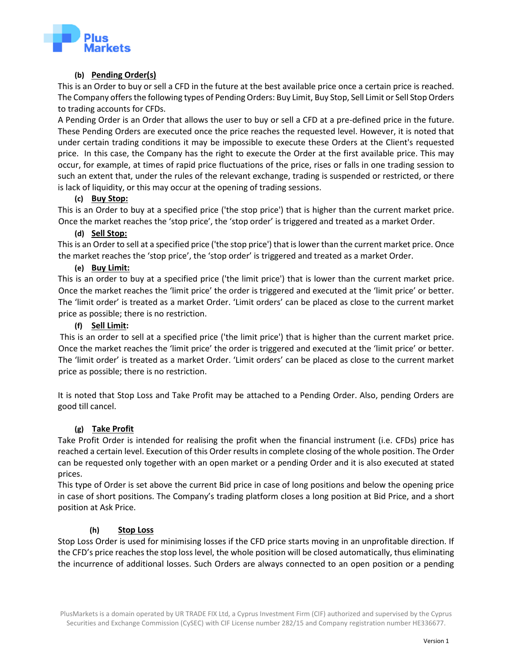

### **(b) Pending Order(s)**

This is an Order to buy or sell a CFD in the future at the best available price once a certain price is reached. The Company offers the following types of Pending Orders: Buy Limit, Buy Stop, Sell Limit or Sell Stop Orders to trading accounts for CFDs.

A Pending Order is an Order that allows the user to buy or sell a CFD at a pre-defined price in the future. These Pending Orders are executed once the price reaches the requested level. However, it is noted that under certain trading conditions it may be impossible to execute these Orders at the Client's requested price. In this case, the Company has the right to execute the Order at the first available price. This may occur, for example, at times of rapid price fluctuations of the price, rises or falls in one trading session to such an extent that, under the rules of the relevant exchange, trading is suspended or restricted, or there is lack of liquidity, or this may occur at the opening of trading sessions.

### **(c) Buy Stop:**

This is an Order to buy at a specified price ('the stop price') that is higher than the current market price. Once the market reaches the 'stop price', the 'stop order' is triggered and treated as a market Order.

#### **(d) Sell Stop:**

This is an Order to sell at a specified price ('the stop price') that is lower than the current market price. Once the market reaches the 'stop price', the 'stop order' is triggered and treated as a market Order.

#### **(e) Buy Limit:**

This is an order to buy at a specified price ('the limit price') that is lower than the current market price. Once the market reaches the 'limit price' the order is triggered and executed at the 'limit price' or better. The 'limit order' is treated as a market Order. 'Limit orders' can be placed as close to the current market price as possible; there is no restriction.

#### **(f) Sell Limit:**

This is an order to sell at a specified price ('the limit price') that is higher than the current market price. Once the market reaches the 'limit price' the order is triggered and executed at the 'limit price' or better. The 'limit order' is treated as a market Order. 'Limit orders' can be placed as close to the current market price as possible; there is no restriction.

It is noted that Stop Loss and Take Profit may be attached to a Pending Order. Also, pending Orders are good till cancel.

### **(g) Take Profit**

Take Profit Order is intended for realising the profit when the financial instrument (i.e. CFDs) price has reached a certain level. Execution of this Order results in complete closing of the whole position. The Order can be requested only together with an open market or a pending Order and it is also executed at stated prices.

This type of Order is set above the current Bid price in case of long positions and below the opening price in case of short positions. The Company's trading platform closes a long position at Bid Price, and a short position at Ask Price.

### **(h) Stop Loss**

Stop Loss Order is used for minimising losses if the CFD price starts moving in an unprofitable direction. If the CFD's price reaches the stop loss level, the whole position will be closed automatically, thus eliminating the incurrence of additional losses. Such Orders are always connected to an open position or a pending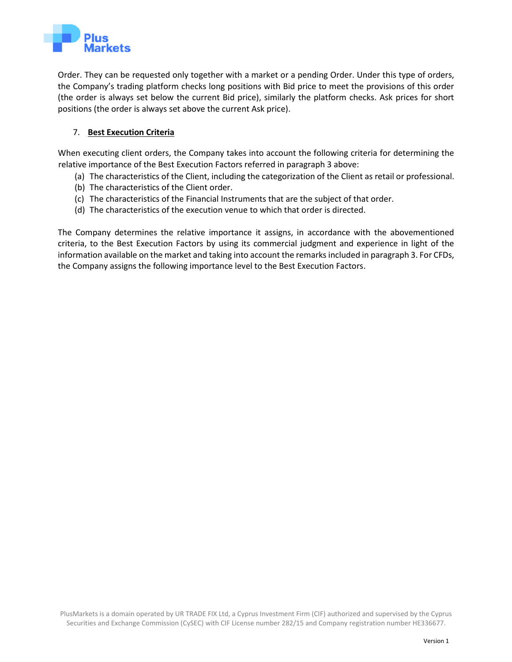

Order. They can be requested only together with a market or a pending Order. Under this type of orders, the Company's trading platform checks long positions with Bid price to meet the provisions of this order (the order is always set below the current Bid price), similarly the platform checks. Ask prices for short positions (the order is always set above the current Ask price).

## 7. **Best Execution Criteria**

When executing client orders, the Company takes into account the following criteria for determining the relative importance of the Best Execution Factors referred in paragraph 3 above:

- (a) The characteristics of the Client, including the categorization of the Client as retail or professional.
- (b) The characteristics of the Client order.
- (c) The characteristics of the Financial Instruments that are the subject of that order.
- (d) The characteristics of the execution venue to which that order is directed.

The Company determines the relative importance it assigns, in accordance with the abovementioned criteria, to the Best Execution Factors by using its commercial judgment and experience in light of the information available on the market and taking into account the remarks included in paragraph 3. For CFDs, the Company assigns the following importance level to the Best Execution Factors.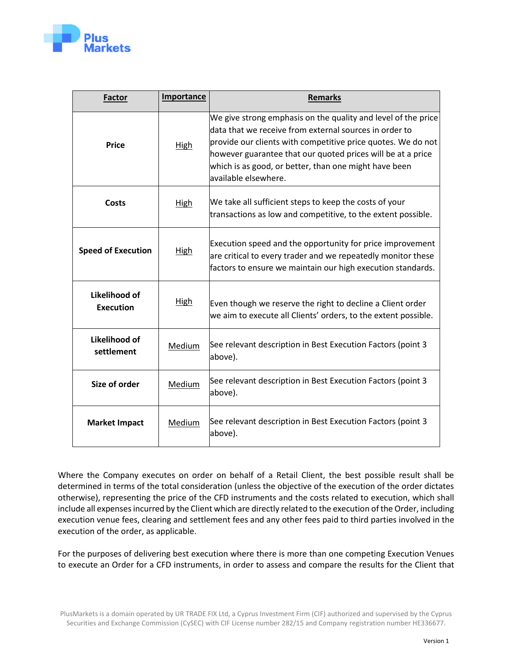

| <b>Factor</b>                     | <b>Importance</b> | <b>Remarks</b>                                                                                                                                                                                                                                                                                                                          |  |  |
|-----------------------------------|-------------------|-----------------------------------------------------------------------------------------------------------------------------------------------------------------------------------------------------------------------------------------------------------------------------------------------------------------------------------------|--|--|
| <b>Price</b>                      | <b>High</b>       | We give strong emphasis on the quality and level of the price<br>data that we receive from external sources in order to<br>provide our clients with competitive price quotes. We do not<br>however guarantee that our quoted prices will be at a price<br>which is as good, or better, than one might have been<br>available elsewhere. |  |  |
| Costs                             | <b>High</b>       | We take all sufficient steps to keep the costs of your<br>transactions as low and competitive, to the extent possible.                                                                                                                                                                                                                  |  |  |
| <b>Speed of Execution</b>         | <b>High</b>       | Execution speed and the opportunity for price improvement<br>are critical to every trader and we repeatedly monitor these<br>factors to ensure we maintain our high execution standards.                                                                                                                                                |  |  |
| Likelihood of<br><b>Execution</b> | <b>High</b>       | Even though we reserve the right to decline a Client order<br>we aim to execute all Clients' orders, to the extent possible.                                                                                                                                                                                                            |  |  |
| Likelihood of<br>settlement       | Medium            | See relevant description in Best Execution Factors (point 3<br>above).                                                                                                                                                                                                                                                                  |  |  |
| Size of order                     | Medium            | See relevant description in Best Execution Factors (point 3<br>above).                                                                                                                                                                                                                                                                  |  |  |
| <b>Market Impact</b>              | Medium            | See relevant description in Best Execution Factors (point 3<br>above).                                                                                                                                                                                                                                                                  |  |  |

Where the Company executes on order on behalf of a Retail Client, the best possible result shall be determined in terms of the total consideration (unless the objective of the execution of the order dictates otherwise), representing the price of the CFD instruments and the costs related to execution, which shall include all expenses incurred by the Client which are directly related to the execution of the Order, including execution venue fees, clearing and settlement fees and any other fees paid to third parties involved in the execution of the order, as applicable.

For the purposes of delivering best execution where there is more than one competing Execution Venues to execute an Order for a CFD instruments, in order to assess and compare the results for the Client that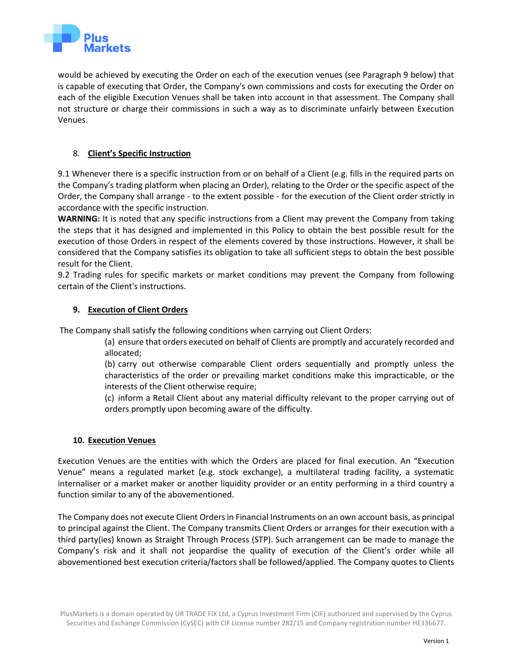

would be achieved by executing the Order on each of the execution venues (see Paragraph 9 below) that is capable of executing that Order, the Company's own commissions and costs for executing the Order on each of the eligible Execution Venues shall be taken into account in that assessment. The Company shall not structure or charge their commissions in such a way as to discriminate unfairly between Execution Venues.

## 8. **Client's Specific Instruction**

9.1 Whenever there is a specific instruction from or on behalf of a Client (e.g. fills in the required parts on the Company's trading platform when placing an Order), relating to the Order or the specific aspect of the Order, the Company shall arrange - to the extent possible - for the execution of the Client order strictly in accordance with the specific instruction.

**WARNING:** It is noted that any specific instructions from a Client may prevent the Company from taking the steps that it has designed and implemented in this Policy to obtain the best possible result for the execution of those Orders in respect of the elements covered by those instructions. However, it shall be considered that the Company satisfies its obligation to take all sufficient steps to obtain the best possible result for the Client.

9.2 Trading rules for specific markets or market conditions may prevent the Company from following certain of the Client's instructions.

### **9. Execution of Client Orders**

The Company shall satisfy the following conditions when carrying out Client Orders:

(a) ensure that orders executed on behalf of Clients are promptly and accurately recorded and allocated;

(b) carry out otherwise comparable Client orders sequentially and promptly unless the characteristics of the order or prevailing market conditions make this impracticable, or the interests of the Client otherwise require;

(c) inform a Retail Client about any material difficulty relevant to the proper carrying out of orders promptly upon becoming aware of the difficulty.

### **10. Execution Venues**

Execution Venues are the entities with which the Orders are placed for final execution. An "Execution Venue" means a regulated market (e.g. stock exchange), a multilateral trading facility, a systematic internaliser or a market maker or another liquidity provider or an entity performing in a third country a function similar to any of the abovementioned.

The Company does not execute Client Orders in Financial Instruments on an own account basis, as principal to principal against the Client. The Company transmits Client Orders or arranges for their execution with a third party(ies) known as Straight Through Process (STP). Such arrangement can be made to manage the Company's risk and it shall not jeopardise the quality of execution of the Client's order while all abovementioned best execution criteria/factors shall be followed/applied. The Company quotes to Clients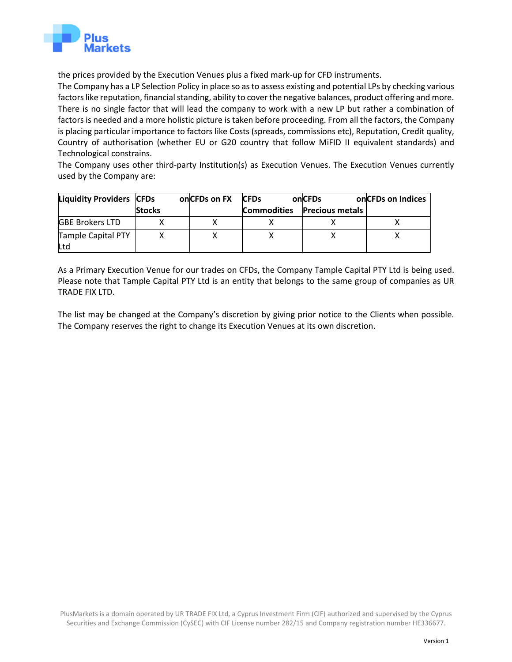

the prices provided by the Execution Venues plus a fixed mark-up for CFD instruments.

The Company has a LP Selection Policy in place so as to assess existing and potential LPs by checking various factors like reputation, financial standing, ability to cover the negative balances, product offering and more. There is no single factor that will lead the company to work with a new LP but rather a combination of factors is needed and a more holistic picture is taken before proceeding. From all the factors, the Company is placing particular importance to factors like Costs (spreads, commissions etc), Reputation, Credit quality, Country of authorisation (whether EU or G20 country that follow MiFID II equivalent standards) and Technological constrains.

The Company uses other third-party Institution(s) as Execution Venues. The Execution Venues currently used by the Company are:

| <b>Liquidity Providers CFDs</b> |               | onCFDs on FX | <b>CFDs</b>        | onCFDs                 | on CFDs on Indices |
|---------------------------------|---------------|--------------|--------------------|------------------------|--------------------|
|                                 | <b>Stocks</b> |              | <b>Commodities</b> | <b>Precious metals</b> |                    |
| <b>GBE Brokers LTD</b>          |               |              |                    |                        |                    |
| Tample Capital PTY<br>Ltd       |               |              |                    |                        |                    |

As a Primary Execution Venue for our trades on CFDs, the Company Tample Capital PTY Ltd is being used. Please note that Tample Capital PTY Ltd is an entity that belongs to the same group of companies as UR TRADE FIX LTD.

The list may be changed at the Company's discretion by giving prior notice to the Clients when possible. The Company reserves the right to change its Execution Venues at its own discretion.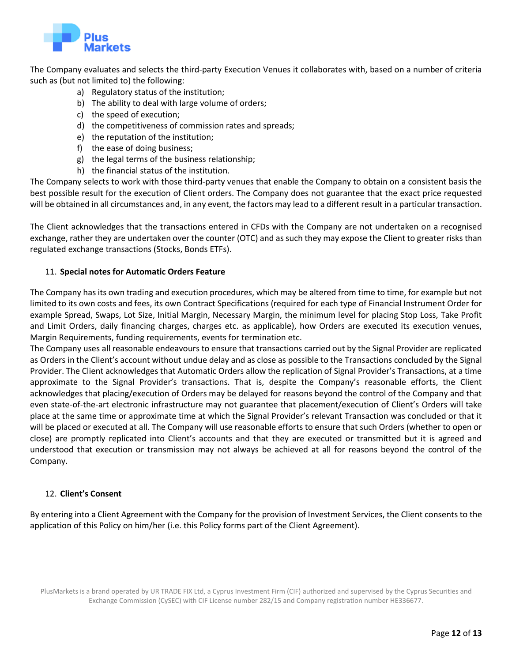

The Company evaluates and selects the third-party Execution Venues it collaborates with, based on a number of criteria such as (but not limited to) the following:

- a) Regulatory status of the institution;
- b) The ability to deal with large volume of orders;
- c) the speed of execution;
- d) the competitiveness of commission rates and spreads;
- e) the reputation of the institution;
- f) the ease of doing business;
- g) the legal terms of the business relationship;
- h) the financial status of the institution.

The Company selects to work with those third-party venues that enable the Company to obtain on a consistent basis the best possible result for the execution of Client orders. The Company does not guarantee that the exact price requested will be obtained in all circumstances and, in any event, the factors may lead to a different result in a particular transaction.

The Client acknowledges that the transactions entered in CFDs with the Company are not undertaken on a recognised exchange, rather they are undertaken over the counter (OTC) and as such they may expose the Client to greater risks than regulated exchange transactions (Stocks, Bonds ETFs).

#### 11. **Special notes for Automatic Orders Feature**

The Company has its own trading and execution procedures, which may be altered from time to time, for example but not limited to its own costs and fees, its own Contract Specifications (required for each type of Financial Instrument Order for example Spread, Swaps, Lot Size, Initial Margin, Necessary Margin, the minimum level for placing Stop Loss, Take Profit and Limit Orders, daily financing charges, charges etc. as applicable), how Orders are executed its execution venues, Margin Requirements, funding requirements, events for termination etc.

The Company uses all reasonable endeavours to ensure that transactions carried out by the Signal Provider are replicated as Orders in the Client's account without undue delay and as close as possible to the Transactions concluded by the Signal Provider. The Client acknowledges that Automatic Orders allow the replication of Signal Provider's Transactions, at a time approximate to the Signal Provider's transactions. That is, despite the Company's reasonable efforts, the Client acknowledges that placing/execution of Orders may be delayed for reasons beyond the control of the Company and that even state-of-the-art electronic infrastructure may not guarantee that placement/execution of Client's Orders will take place at the same time or approximate time at which the Signal Provider's relevant Transaction was concluded or that it will be placed or executed at all. The Company will use reasonable efforts to ensure that such Orders (whether to open or close) are promptly replicated into Client's accounts and that they are executed or transmitted but it is agreed and understood that execution or transmission may not always be achieved at all for reasons beyond the control of the Company.

#### 12. **Client's Consent**

By entering into a Client Agreement with the Company for the provision of Investment Services, the Client consents to the application of this Policy on him/her (i.e. this Policy forms part of the Client Agreement).